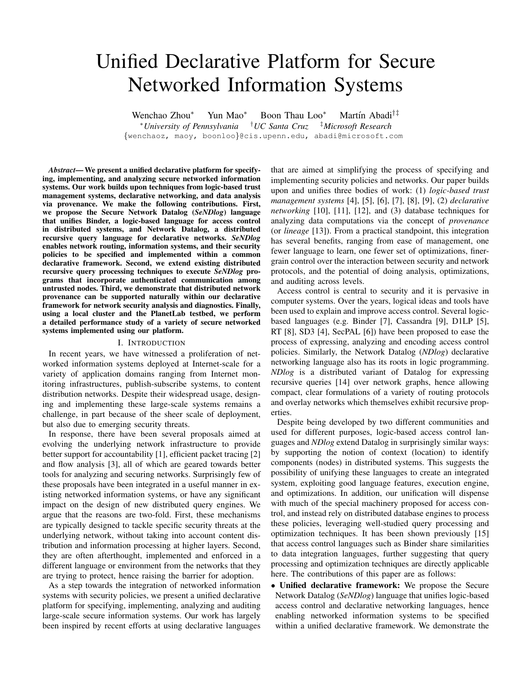# Unified Declarative Platform for Secure Networked Information Systems

Wenchao Zhou<sup>∗</sup> Yun Mao<sup>∗</sup> Boon Thau Loo<sup>∗</sup> Martín Abadi<sup>†‡</sup> <sup>∗</sup>*University of Pennsylvania* †*UC Santa Cruz* ‡*Microsoft Research* {wenchaoz, maoy, boonloo}@cis.upenn.edu, abadi@microsoft.com

*Abstract*— We present a unified declarative platform for specifying, implementing, and analyzing secure networked information systems. Our work builds upon techniques from logic-based trust management systems, declarative networking, and data analysis via provenance. We make the following contributions. First, we propose the Secure Network Datalog (*SeNDlog*) language that unifies Binder, a logic-based language for access control in distributed systems, and Network Datalog, a distributed recursive query language for declarative networks. *SeNDlog* enables network routing, information systems, and their security policies to be specified and implemented within a common declarative framework. Second, we extend existing distributed recursive query processing techniques to execute *SeNDlog* programs that incorporate authenticated communication among untrusted nodes. Third, we demonstrate that distributed network provenance can be supported naturally within our declarative framework for network security analysis and diagnostics. Finally, using a local cluster and the PlanetLab testbed, we perform a detailed performance study of a variety of secure networked systems implemented using our platform.

#### I. INTRODUCTION

In recent years, we have witnessed a proliferation of networked information systems deployed at Internet-scale for a variety of application domains ranging from Internet monitoring infrastructures, publish-subscribe systems, to content distribution networks. Despite their widespread usage, designing and implementing these large-scale systems remains a challenge, in part because of the sheer scale of deployment, but also due to emerging security threats.

In response, there have been several proposals aimed at evolving the underlying network infrastructure to provide better support for accountability [1], efficient packet tracing [2] and flow analysis [3], all of which are geared towards better tools for analyzing and securing networks. Surprisingly few of these proposals have been integrated in a useful manner in existing networked information systems, or have any significant impact on the design of new distributed query engines. We argue that the reasons are two-fold. First, these mechanisms are typically designed to tackle specific security threats at the underlying network, without taking into account content distribution and information processing at higher layers. Second, they are often afterthought, implemented and enforced in a different language or environment from the networks that they are trying to protect, hence raising the barrier for adoption.

As a step towards the integration of networked information systems with security policies, we present a unified declarative platform for specifying, implementing, analyzing and auditing large-scale secure information systems. Our work has largely been inspired by recent efforts at using declarative languages that are aimed at simplifying the process of specifying and implementing security policies and networks. Our paper builds upon and unifies three bodies of work: (1) *logic-based trust management systems* [4], [5], [6], [7], [8], [9], (2) *declarative networking* [10], [11], [12], and (3) database techniques for analyzing data computations via the concept of *provenance* (or *lineage* [13]). From a practical standpoint, this integration has several benefits, ranging from ease of management, one fewer language to learn, one fewer set of optimizations, finergrain control over the interaction between security and network protocols, and the potential of doing analysis, optimizations, and auditing across levels.

Access control is central to security and it is pervasive in computer systems. Over the years, logical ideas and tools have been used to explain and improve access control. Several logicbased languages (e.g. Binder [7], Cassandra [9], D1LP [5], RT [8], SD3 [4], SecPAL [6]) have been proposed to ease the process of expressing, analyzing and encoding access control policies. Similarly, the Network Datalog (*NDlog*) declarative networking language also has its roots in logic programming. *NDlog* is a distributed variant of Datalog for expressing recursive queries [14] over network graphs, hence allowing compact, clear formulations of a variety of routing protocols and overlay networks which themselves exhibit recursive properties.

Despite being developed by two different communities and used for different purposes, logic-based access control languages and *NDlog* extend Datalog in surprisingly similar ways: by supporting the notion of context (location) to identify components (nodes) in distributed systems. This suggests the possibility of unifying these languages to create an integrated system, exploiting good language features, execution engine, and optimizations. In addition, our unification will dispense with much of the special machinery proposed for access control, and instead rely on distributed database engines to process these policies, leveraging well-studied query processing and optimization techniques. It has been shown previously [15] that access control languages such as Binder share similarities to data integration languages, further suggesting that query processing and optimization techniques are directly applicable here. The contributions of this paper are as follows:

• Unified declarative framework: We propose the Secure Network Datalog (*SeNDlog*) language that unifies logic-based access control and declarative networking languages, hence enabling networked information systems to be specified within a unified declarative framework. We demonstrate the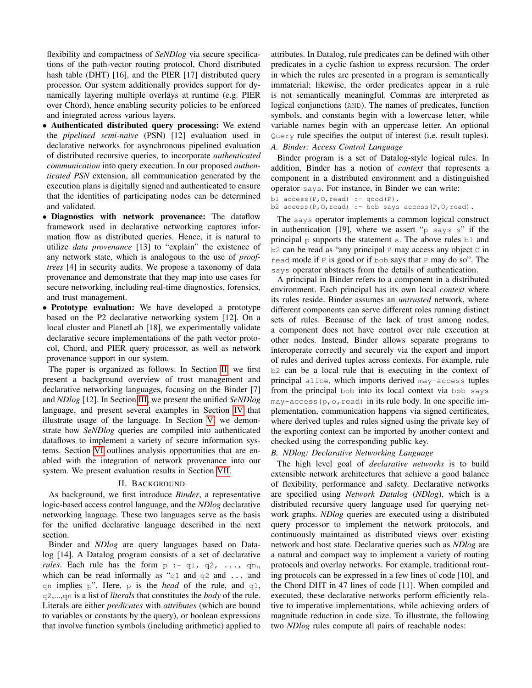flexibility and compactness of *SeNDlog* via secure specifications of the path-vector routing protocol, Chord distributed hash table (DHT) [16], and the PIER [17] distributed query processor. Our system additionally provides support for dynamically layering multiple overlays at runtime (e.g. PIER over Chord), hence enabling security policies to be enforced and integrated across various layers.

- Authenticated distributed query processing: We extend the *pipelined semi-naïve* (PSN) [12] evaluation used in declarative networks for asynchronous pipelined evaluation of distributed recursive queries, to incorporate *authenticated communication* into query execution. In our proposed *authenticated PSN* extension, all communication generated by the execution plans is digitally signed and authenticated to ensure that the identities of participating nodes can be determined and validated.
- Diagnostics with network provenance: The dataflow framework used in declarative networking captures information flow as distributed queries. Hence, it is natural to utilize *data provenance* [13] to "explain" the existence of any network state, which is analogous to the use of *prooftrees* [4] in security audits. We propose a taxonomy of data provenance and demonstrate that they map into use cases for secure networking, including real-time diagnostics, forensics, and trust management.
- Prototype evaluation: We have developed a prototype based on the P2 declarative networking system [12]. On a local cluster and PlanetLab [18], we experimentally validate declarative secure implementations of the path vector protocol, Chord, and PIER query processor, as well as network provenance support in our system.

The paper is organized as follows. In Section [II,](#page-1-0) we first present a background overview of trust management and declarative networking languages, focusing on the Binder [7] and *NDlog* [12]. In Section [III,](#page-2-0) we present the unified *SeNDlog* language, and present several examples in Section [IV](#page-3-0) that illustrate usage of the language. In Section [V,](#page-4-0) we demonstrate how *SeNDlog* queries are compiled into authenticated dataflows to implement a variety of secure information systems. Section [VI](#page-6-0) outlines analysis opportunities that are enabled with the integration of network provenance into our system. We present evaluation results in Section [VII.](#page-7-0)

#### II. BACKGROUND

<span id="page-1-0"></span>As background, we first introduce *Binder*, a representative logic-based access control language, and the *NDlog* declarative networking language. These two languages serve as the basis for the unified declarative language described in the next section.

Binder and *NDlog* are query languages based on Datalog [14]. A Datalog program consists of a set of declarative *rules*. Each rule has the form  $p := q1, q2, \ldots, qn$ . which can be read informally as " $q1$  and  $q2$  and ... and qn implies p". Here, p is the *head* of the rule, and q1, q2,...,qn is a list of *literals* that constitutes the *body* of the rule. Literals are either *predicates* with *attributes* (which are bound to variables or constants by the query), or boolean expressions that involve function symbols (including arithmetic) applied to attributes. In Datalog, rule predicates can be defined with other predicates in a cyclic fashion to express recursion. The order in which the rules are presented in a program is semantically immaterial; likewise, the order predicates appear in a rule is not semantically meaningful. Commas are interpreted as logical conjunctions (AND). The names of predicates, function symbols, and constants begin with a lowercase letter, while variable names begin with an uppercase letter. An optional Query rule specifies the output of interest (i.e. result tuples).

# *A. Binder: Access Control Language*

Binder program is a set of Datalog-style logical rules. In addition, Binder has a notion of *context* that represents a component in a distributed environment and a distinguished operator says. For instance, in Binder we can write:

```
b1 access(P, 0, read) :- good(P).b2 access(P, 0, read) :- bob says access(P, 0, read).
```
The says operator implements a common logical construct in authentication [19], where we assert "p says s" if the principal p supports the statement s. The above rules b1 and  $b2$  can be read as "any principal P may access any object  $\circ$  in read mode if  $P$  is good or if bob says that  $P$  may do so". The says operator abstracts from the details of authentication.

A principal in Binder refers to a component in a distributed environment. Each principal has its own local *context* where its rules reside. Binder assumes an *untrusted* network, where different components can serve different roles running distinct sets of rules. Because of the lack of trust among nodes, a component does not have control over rule execution at other nodes. Instead, Binder allows separate programs to interoperate correctly and securely via the export and import of rules and derived tuples across contexts. For example, rule b2 can be a local rule that is executing in the context of principal alice, which imports derived may-access tuples from the principal bob into its local context via bob says  $may-access(p, o, read)$  in its rule body. In one specific implementation, communication happens via signed certificates, where derived tuples and rules signed using the private key of the exporting context can be imported by another context and checked using the corresponding public key.

## <span id="page-1-1"></span>*B. NDlog: Declarative Networking Language*

The high level goal of *declarative networks* is to build extensible network architectures that achieve a good balance of flexibility, performance and safety. Declarative networks are specified using *Network Datalog* (*NDlog*), which is a distributed recursive query language used for querying network graphs. *NDlog* queries are executed using a distributed query processor to implement the network protocols, and continuously maintained as distributed views over existing network and host state. Declarative queries such as *NDlog* are a natural and compact way to implement a variety of routing protocols and overlay networks. For example, traditional routing protocols can be expressed in a few lines of code [10], and the Chord DHT in 47 lines of code [11]. When compiled and executed, these declarative networks perform efficiently relative to imperative implementations, while achieving orders of magnitude reduction in code size. To illustrate, the following two *NDlog* rules compute all pairs of reachable nodes: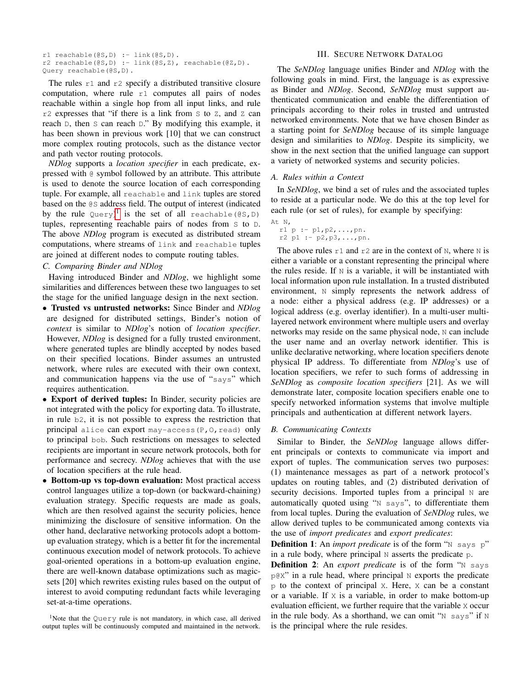```
r1 reachable(@S,D) :- link(@S,D).
r2 reachable(@S,D) :- link(@S,Z), reachable(@Z,D).
Query reachable(@S,D).
```
The rules  $r1$  and  $r2$  specify a distributed transitive closure computation, where rule  $r1$  computes all pairs of nodes reachable within a single hop from all input links, and rule  $r2$  expresses that "if there is a link from  $S$  to  $Z$ , and  $Z$  can reach D, then S can reach D." By modifying this example, it has been shown in previous work [10] that we can construct more complex routing protocols, such as the distance vector and path vector routing protocols.

*NDlog* supports a *location specifier* in each predicate, expressed with @ symbol followed by an attribute. This attribute is used to denote the source location of each corresponding tuple. For example, all reachable and link tuples are stored based on the @S address field. The output of interest (indicated by the rule  $Query)^{1}$  $Query)^{1}$  $Query)^{1}$  is the set of all reachable( $($ GS,D) tuples, representing reachable pairs of nodes from S to D. The above *NDlog* program is executed as distributed stream computations, where streams of link and reachable tuples are joined at different nodes to compute routing tables.

## *C. Comparing Binder and NDlog*

Having introduced Binder and *NDlog*, we highlight some similarities and differences between these two languages to set the stage for the unified language design in the next section.

- Trusted vs untrusted networks: Since Binder and *NDlog* are designed for distributed settings, Binder's notion of *context* is similar to *NDlog*'s notion of *location specifier*. However, *NDlog* is designed for a fully trusted environment, where generated tuples are blindly accepted by nodes based on their specified locations. Binder assumes an untrusted network, where rules are executed with their own context, and communication happens via the use of "says" which requires authentication.
- Export of derived tuples: In Binder, security policies are not integrated with the policy for exporting data. To illustrate, in rule b2, it is not possible to express the restriction that principal alice can export may-access(P, O, read) only to principal bob. Such restrictions on messages to selected recipients are important in secure network protocols, both for performance and secrecy. *NDlog* achieves that with the use of location specifiers at the rule head.
- Bottom-up vs top-down evaluation: Most practical access control languages utilize a top-down (or backward-chaining) evaluation strategy. Specific requests are made as goals, which are then resolved against the security policies, hence minimizing the disclosure of sensitive information. On the other hand, declarative networking protocols adopt a bottomup evaluation strategy, which is a better fit for the incremental continuous execution model of network protocols. To achieve goal-oriented operations in a bottom-up evaluation engine, there are well-known database optimizations such as magicsets [20] which rewrites existing rules based on the output of interest to avoid computing redundant facts while leveraging set-at-a-time operations.

<span id="page-2-1"></span><sup>1</sup>Note that the Query rule is not mandatory, in which case, all derived output tuples will be continuously computed and maintained in the network.

#### III. SECURE NETWORK DATALOG

<span id="page-2-0"></span>The *SeNDlog* language unifies Binder and *NDlog* with the following goals in mind. First, the language is as expressive as Binder and *NDlog*. Second, *SeNDlog* must support authenticated communication and enable the differentiation of principals according to their roles in trusted and untrusted networked environments. Note that we have chosen Binder as a starting point for *SeNDlog* because of its simple language design and similarities to *NDlog*. Despite its simplicity, we show in the next section that the unified language can support a variety of networked systems and security policies.

## <span id="page-2-3"></span>*A. Rules within a Context*

In *SeNDlog*, we bind a set of rules and the associated tuples to reside at a particular node. We do this at the top level for each rule (or set of rules), for example by specifying:

- At N, r1 p :- p1,p2,...,pn.
	- r2 p1 :- p2,p3,...,pn.

The above rules  $r1$  and  $r2$  are in the context of N, where N is either a variable or a constant representing the principal where the rules reside. If  $N$  is a variable, it will be instantiated with local information upon rule installation. In a trusted distributed environment, N simply represents the network address of a node: either a physical address (e.g. IP addresses) or a logical address (e.g. overlay identifier). In a multi-user multilayered network environment where multiple users and overlay networks may reside on the same physical node, N can include the user name and an overlay network identifier. This is unlike declarative networking, where location specifiers denote physical IP address. To differentiate from *NDlog*'s use of location specifiers, we refer to such forms of addressing in *SeNDlog* as *composite location specifiers* [21]. As we will demonstrate later, composite location specifiers enable one to specify networked information systems that involve multiple principals and authentication at different network layers.

## <span id="page-2-2"></span>*B. Communicating Contexts*

Similar to Binder, the *SeNDlog* language allows different principals or contexts to communicate via import and export of tuples. The communication serves two purposes: (1) maintenance messages as part of a network protocol's updates on routing tables, and (2) distributed derivation of security decisions. Imported tuples from a principal N are automatically quoted using "N says", to differentiate them from local tuples. During the evaluation of *SeNDlog* rules, we allow derived tuples to be communicated among contexts via the use of *import predicates* and *export predicates*:

**Definition 1:** An *import predicate* is of the form "N says p" in a rule body, where principal N asserts the predicate p.

**Definition 2:** An *export predicate* is of the form "N says  $p@X"$  in a rule head, where principal N exports the predicate p to the context of principal X. Here, X can be a constant or a variable. If  $\times$  is a variable, in order to make bottom-up evaluation efficient, we further require that the variable X occur in the rule body. As a shorthand, we can omit " $N$  says" if  $N$ is the principal where the rule resides.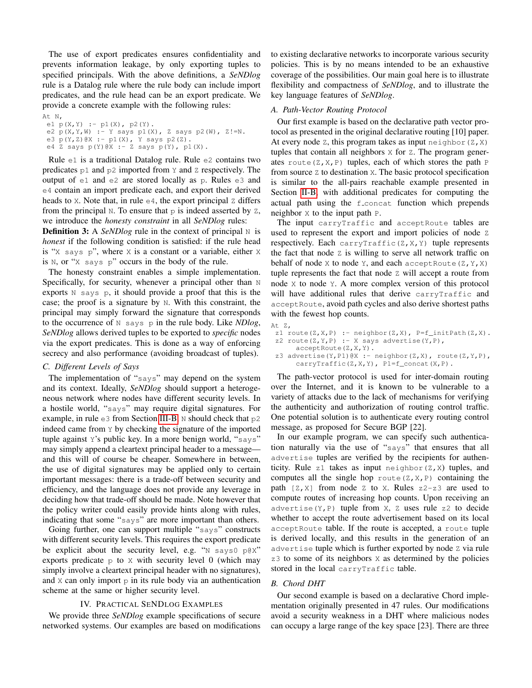The use of export predicates ensures confidentiality and prevents information leakage, by only exporting tuples to specified principals. With the above definitions, a *SeNDlog* rule is a Datalog rule where the rule body can include import predicates, and the rule head can be an export predicate. We provide a concrete example with the following rules:

```
At N,
e1 p(X, Y) :- p1(X), p2(Y).
e2 p(X, Y, W) :- Y says p1(X), Z says p2(W), Z!=N.
e3 p(Y,Z)@X :- p1(X), Y says p2(Z).
e4 Z says p(Y)@X :- Z says p(Y), p1(X).
```
Rule  $e1$  is a traditional Datalog rule. Rule  $e2$  contains two predicates  $p1$  and  $p2$  imported from  $Y$  and  $Z$  respectively. The output of e1 and e2 are stored locally as p. Rules e3 and e4 contain an import predicate each, and export their derived heads to  $X$ . Note that, in rule  $e4$ , the export principal  $Z$  differs from the principal N. To ensure that  $p$  is indeed asserted by  $z$ , we introduce the *honesty constraint* in all *SeNDlog* rules:

**Definition 3:** A *SeNDlog* rule in the context of principal N is *honest* if the following condition is satisfied: if the rule head is " $X$  says p", where  $X$  is a constant or a variable, either  $X$ is N, or "X says p" occurs in the body of the rule.

The honesty constraint enables a simple implementation. Specifically, for security, whenever a principal other than N exports  $N$  says p, it should provide a proof that this is the case; the proof is a signature by N. With this constraint, the principal may simply forward the signature that corresponds to the occurrence of N says p in the rule body. Like *NDlog*, *SeNDlog* allows derived tuples to be exported to *specific* nodes via the export predicates. This is done as a way of enforcing secrecy and also performance (avoiding broadcast of tuples).

# *C. Different Levels of Says*

The implementation of "says" may depend on the system and its context. Ideally, *SeNDlog* should support a heterogeneous network where nodes have different security levels. In a hostile world, "says" may require digital signatures. For example, in rule  $e^3$  from Section [III-B,](#page-2-2) N should check that  $p^2$ indeed came from Y by checking the signature of the imported tuple against Y's public key. In a more benign world, "says" may simply append a cleartext principal header to a message and this will of course be cheaper. Somewhere in between, the use of digital signatures may be applied only to certain important messages: there is a trade-off between security and efficiency, and the language does not provide any leverage in deciding how that trade-off should be made. Note however that the policy writer could easily provide hints along with rules, indicating that some "says" are more important than others.

Going further, one can support multiple "says" constructs with different security levels. This requires the export predicate be explicit about the security level, e.g. "N says0  $p@X"$ exports predicate  $p$  to X with security level 0 (which may simply involve a cleartext principal header with no signatures), and  $X$  can only import  $p$  in its rule body via an authentication scheme at the same or higher security level.

# IV. PRACTICAL SENDLOG EXAMPLES

<span id="page-3-0"></span>We provide three *SeNDlog* example specifications of secure networked systems. Our examples are based on modifications to existing declarative networks to incorporate various security policies. This is by no means intended to be an exhaustive coverage of the possibilities. Our main goal here is to illustrate flexibility and compactness of *SeNDlog*, and to illustrate the key language features of *SeNDlog*.

#### <span id="page-3-1"></span>*A. Path-Vector Routing Protocol*

Our first example is based on the declarative path vector protocol as presented in the original declarative routing [10] paper. At every node z, this program takes as input  $neighbour(Z,X)$ tuples that contain all neighbors X for Z. The program generates route( $Z$ ,  $X$ ,  $P$ ) tuples, each of which stores the path P from source Z to destination X. The basic protocol specification is similar to the all-pairs reachable example presented in Section [II-B,](#page-1-1) with additional predicates for computing the actual path using the f-concat function which prepends neighbor  $\times$  to the input path  $\ddot{P}$ .

The input carryTraffic and acceptRoute tables are used to represent the export and import policies of node Z respectively. Each carryTraffic( $Z$ , $X$ , $Y$ ) tuple represents the fact that node  $z$  is willing to serve all network traffic on behalf of node  $X$  to node  $Y$ , and each accept Route ( $Z$ ,  $Y$ ,  $X$ ) tuple represents the fact that node Z will accept a route from node X to node Y. A more complex version of this protocol will have additional rules that derive carryTraffic and acceptRoute, avoid path cycles and also derive shortest paths with the fewest hop counts.

```
At Z,
```

```
z1 route(Z,X,P) :- neighbor(Z,X), P=f initPath(Z,X).
z2 route(Z, Y, P) :- X says advertise(Y, P),
     acceptRoute(Z,X,Y).
z3 advertise(Y,P1)@X :- neighbor(Z,X), route(Z,Y,P),
     carryTraffic(Z, X, Y), P1=f_concat(X, P).
```
The path-vector protocol is used for inter-domain routing over the Internet, and it is known to be vulnerable to a variety of attacks due to the lack of mechanisms for verifying the authenticity and authorization of routing control traffic. One potential solution is to authenticate every routing control message, as proposed for Secure BGP [22].

In our example program, we can specify such authentication naturally via the use of "says" that ensures that all advertise tuples are verified by the recipients for authenticity. Rule  $z1$  takes as input neighbor( $z$ ,  $x$ ) tuples, and computes all the single hop route( $Z$ ,  $X$ ,  $P$ ) containing the path  $[z, x]$  from node z to x. Rules  $z^2$ -z3 are used to compute routes of increasing hop counts. Upon receiving an advertise(Y, P) tuple from X, Z uses rule  $z^2$  to decide whether to accept the route advertisement based on its local acceptRoute table. If the route is accepted, a route tuple is derived locally, and this results in the generation of an advertise tuple which is further exported by node z via rule  $z3$  to some of its neighbors  $x$  as determined by the policies stored in the local carryTraffic table.

#### <span id="page-3-2"></span>*B. Chord DHT*

Our second example is based on a declarative Chord implementation originally presented in 47 rules. Our modifications avoid a security weakness in a DHT where malicious nodes can occupy a large range of the key space [23]. There are three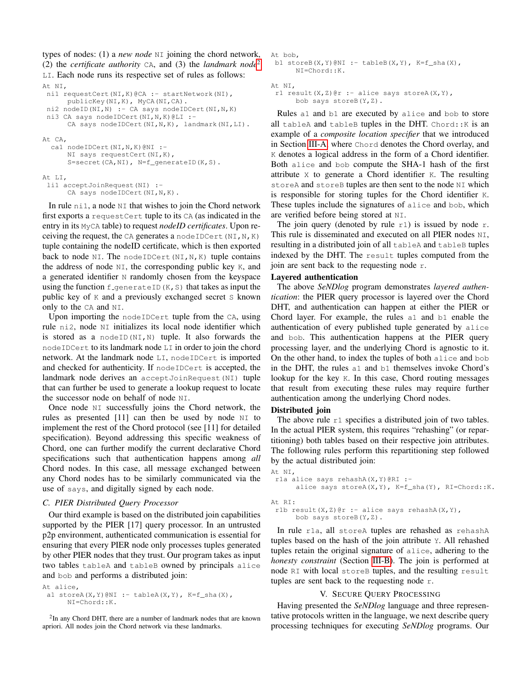```
types of nodes: (1) a new node NI joining the chord network,
2) the certificate authority CA, and (3) the landmark node<sup>2</sup>
LI. Each node runs its respective set of rules as follows:
At NI,
 nil requestCert(NI, K)@CA :- startNetwork(NI),
      publicKey(NI,K), MyCA(NI,CA).
 ni2 nodeID(NI,N) :- CA says nodeIDCert(NI,N,K)
 ni3 CA says nodeIDCert(NI,N,K)@LI :-
      CA says nodeIDCert(NI, N, K), landmark(NI, LI).
At CA,
  ca1 nodeIDCert(NI,N,K)@NI :-
      NI says requestCert(NI,K),
      S=secret(CA, NI), N=f_generateID(K, S).
```

```
At LI,
```

```
li1 acceptJoinRequest(NI) :-
     CA says nodeIDCert(NI,N,K).
```
In rule ni1, a node NI that wishes to join the Chord network first exports a requestCert tuple to its CA (as indicated in the entry in its MyCA table) to request *nodeID certificates*. Upon receiving the request, the CA generates a nodeIDCert  $(NI,N,K)$ tuple containing the nodeID certificate, which is then exported back to node  $NI$ . The nodeIDCert $(NI,N,K)$  tuple contains the address of node NI, the corresponding public key K, and a generated identifier N randomly chosen from the keyspace using the function  $f$ -generateID(K, S) that takes as input the public key of K and a previously exchanged secret S known only to the CA and NI.

Upon importing the nodeIDCert tuple from the CA, using rule ni2, node NI initializes its local node identifier which is stored as a nodel  $(NI,N)$  tuple. It also forwards the nodeIDCert to its landmark node LI in order to join the chord network. At the landmark node LI, nodeIDCert is imported and checked for authenticity. If nodeIDCert is accepted, the landmark node derives an acceptJoinRequest(NI) tuple that can further be used to generate a lookup request to locate the successor node on behalf of node NI.

Once node NI successfully joins the Chord network, the rules as presented [11] can then be used by node NI to implement the rest of the Chord protocol (see [11] for detailed specification). Beyond addressing this specific weakness of Chord, one can further modify the current declarative Chord specifications such that authentication happens among *all* Chord nodes. In this case, all message exchanged between any Chord nodes has to be similarly communicated via the use of says, and digitally signed by each node.

# <span id="page-4-2"></span>*C. PIER Distributed Query Processor*

Our third example is based on the distributed join capabilities supported by the PIER [17] query processor. In an untrusted p2p environment, authenticated communication is essential for ensuring that every PIER node only processes tuples generated by other PIER nodes that they trust. Our program takes as input two tables tableA and tableB owned by principals alice and bob and performs a distributed join:

```
At alice,
 al storeA(X, Y)@NI :- tableA(X, Y), K=f_sha(X),
      NI=Chord::K.
```
<span id="page-4-1"></span><sup>2</sup>In any Chord DHT, there are a number of landmark nodes that are known apriori. All nodes join the Chord network via these landmarks.

```
At bob,
b1 storeB(X,Y)@NI :- tableB(X,Y), K=f_sha(X),
      NI=Chord::K.
At NI,
```

```
r1 result(X,Z)@r :- alice says storeA(X,Y),
    bob says storeB(Y,Z).
```
Rules a1 and b1 are executed by alice and bob to store all tableA and tableB tuples in the DHT. Chord::K is an example of a *composite location specifier* that we introduced in Section [III-A,](#page-2-3) where Chord denotes the Chord overlay, and K denotes a logical address in the form of a Chord identifier. Both alice and bob compute the SHA-1 hash of the first attribute X to generate a Chord identifier K. The resulting storeA and storeB tuples are then sent to the node NI which is responsible for storing tuples for the Chord identifier K. These tuples include the signatures of alice and bob, which are verified before being stored at NI.

The join query (denoted by rule  $r1$ ) is issued by node r. This rule is disseminated and executed on all PIER nodes NI, resulting in a distributed join of all tableA and tableB tuples indexed by the DHT. The result tuples computed from the join are sent back to the requesting node r.

## Layered authentication

The above *SeNDlog* program demonstrates *layered authentication*: the PIER query processor is layered over the Chord DHT, and authentication can happen at either the PIER or Chord layer. For example, the rules a1 and b1 enable the authentication of every published tuple generated by alice and bob. This authentication happens at the PIER query processing layer, and the underlying Chord is agnostic to it. On the other hand, to index the tuples of both alice and bob in the DHT, the rules a1 and b1 themselves invoke Chord's lookup for the key K. In this case, Chord routing messages that result from executing these rules may require further authentication among the underlying Chord nodes.

#### Distributed join

The above rule r1 specifies a distributed join of two tables. In the actual PIER system, this requires "rehashing" (or repartitioning) both tables based on their respective join attributes. The following rules perform this repartitioning step followed by the actual distributed join:

```
At NI,
r1a alice says rehashA(X,Y)@RI :-
      alice says storeA(X,Y), K=f_sha(Y), RI=Chord::K.
At RI:
r1b result(X,Z)@r :- alice says rehashA(X,Y),
      bob says storeB(Y,Z).
```
In rule r1a, all storeA tuples are rehashed as rehashA tuples based on the hash of the join attribute Y. All rehashed tuples retain the original signature of alice, adhering to the *honesty constraint* (Section [III-B\)](#page-2-2). The join is performed at node RI with local storeB tuples, and the resulting result tuples are sent back to the requesting node r.

#### V. SECURE QUERY PROCESSING

<span id="page-4-0"></span>Having presented the *SeNDlog* language and three representative protocols written in the language, we next describe query processing techniques for executing *SeNDlog* programs. Our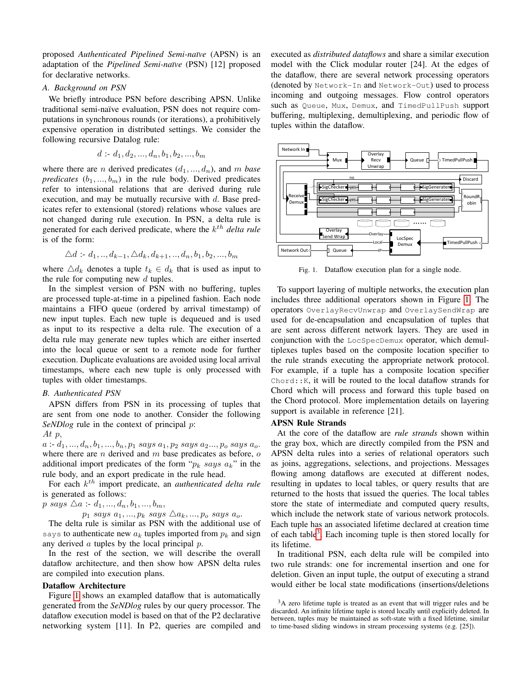proposed *Authenticated Pipelined Semi-na¨ıve* (APSN) is an adaptation of the *Pipelined Semi-naïve* (PSN) [12] proposed for declarative networks.

## *A. Background on PSN*

We briefly introduce PSN before describing APSN. Unlike traditional semi-naïve evaluation, PSN does not require computations in synchronous rounds (or iterations), a prohibitively expensive operation in distributed settings. We consider the following recursive Datalog rule:

$$
d: d_1, d_2, ..., d_n, b_1, b_2, ..., b_m
$$

where there are *n* derived predicates  $(d_1, ..., d_n)$ , and *m* base *predicates*  $(b_1, ..., b_m)$  in the rule body. Derived predicates refer to intensional relations that are derived during rule execution, and may be mutually recursive with d. Base predicates refer to extensional (stored) relations whose values are not changed during rule execution. In PSN, a delta rule is generated for each derived predicate, where the  $k^{th}$  *delta rule* is of the form:

$$
\triangle d: d_1, ..., d_{k-1}, \triangle d_k, d_{k+1}, ..., d_n, b_1, b_2, ..., b_m
$$

where  $\triangle d_k$  denotes a tuple  $t_k \in d_k$  that is used as input to the rule for computing new  $d$  tuples.

In the simplest version of PSN with no buffering, tuples are processed tuple-at-time in a pipelined fashion. Each node maintains a FIFO queue (ordered by arrival timestamp) of new input tuples. Each new tuple is dequeued and is used as input to its respective a delta rule. The execution of a delta rule may generate new tuples which are either inserted into the local queue or sent to a remote node for further execution. Duplicate evaluations are avoided using local arrival timestamps, where each new tuple is only processed with tuples with older timestamps.

#### *B. Authenticated PSN*

APSN differs from PSN in its processing of tuples that are sent from one node to another. Consider the following *SeNDlog* rule in the context of principal p:

At p,

 $a : d_1, ..., d_n, b_1, ..., b_n, p_1 \text{ says } a_1, p_2 \text{ says } a_2, ..., b_0 \text{ says } a_0.$ where there are  $n$  derived and  $m$  base predicates as before,  $o$ additional import predicates of the form " $p_k$  says  $a_k$ " in the rule body, and an export predicate in the rule head.

For each  $k^{th}$  import predicate, an *authenticated delta rule* is generated as follows:

p says  $\Delta a$  :-  $d_1, ..., d_n, b_1, ..., b_m$ ,

 $p_1$  says  $a_1, ..., p_k$  says  $\triangle a_k, ..., p_o$  says  $a_o$ .

The delta rule is similar as PSN with the additional use of says to authenticate new  $a_k$  tuples imported from  $p_k$  and sign any derived  $\alpha$  tuples by the local principal  $p$ .

In the rest of the section, we will describe the overall dataflow architecture, and then show how APSN delta rules are compiled into execution plans.

### Dataflow Architecture

Figure [1](#page-5-0) shows an exampled dataflow that is automatically generated from the *SeNDlog* rules by our query processor. The dataflow execution model is based on that of the P2 declarative networking system [11]. In P2, queries are compiled and

executed as *distributed dataflows* and share a similar execution model with the Click modular router [24]. At the edges of the dataflow, there are several network processing operators (denoted by Network-In and Network-Out) used to process incoming and outgoing messages. Flow control operators such as Queue, Mux, Demux, and TimedPullPush support buffering, multiplexing, demultiplexing, and periodic flow of tuples within the dataflow.



<span id="page-5-0"></span>Fig. 1. Dataflow execution plan for a single node.

To support layering of multiple networks, the execution plan includes three additional operators shown in Figure [1.](#page-5-0) The operators OverlayRecvUnwrap and OverlaySendWrap are used for de-encapsulation and encapsulation of tuples that are sent across different network layers. They are used in conjunction with the LocSpecDemux operator, which demultiplexes tuples based on the composite location specifier to the rule strands executing the appropriate network protocol. For example, if a tuple has a composite location specifier Chord::K, it will be routed to the local dataflow strands for Chord which will process and forward this tuple based on the Chord protocol. More implementation details on layering support is available in reference [21].

#### APSN Rule Strands

At the core of the dataflow are *rule strands* shown within the gray box, which are directly compiled from the PSN and APSN delta rules into a series of relational operators such as joins, aggregations, selections, and projections. Messages flowing among dataflows are executed at different nodes, resulting in updates to local tables, or query results that are returned to the hosts that issued the queries. The local tables store the state of intermediate and computed query results, which include the network state of various network protocols. Each tuple has an associated lifetime declared at creation time of each table<sup>[3](#page-5-1)</sup>. Each incoming tuple is then stored locally for its lifetime.

In traditional PSN, each delta rule will be compiled into two rule strands: one for incremental insertion and one for deletion. Given an input tuple, the output of executing a strand would either be local state modifications (insertions/deletions

<span id="page-5-1"></span> $3A$  zero lifetime tuple is treated as an event that will trigger rules and be discarded. An infinite lifetime tuple is stored locally until explicitly deleted. In between, tuples may be maintained as soft-state with a fixed lifetime, similar to time-based sliding windows in stream processing systems (e.g. [25]).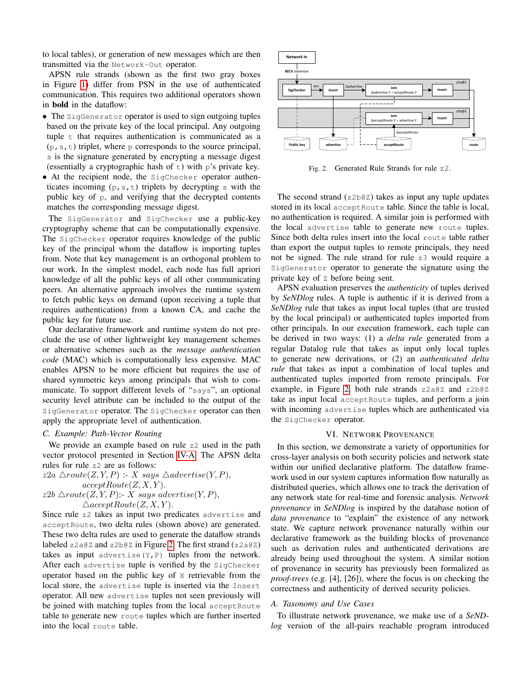to local tables), or generation of new messages which are then transmitted via the Network-Out operator.

APSN rule strands (shown as the first two gray boxes in Figure [1\)](#page-5-0) differ from PSN in the use of authenticated communication. This requires two additional operators shown in bold in the dataflow:

- The SigGenerator operator is used to sign outgoing tuples based on the private key of the local principal. Any outgoing tuple  $t$  that requires authentication is communicated as a  $(p, s, t)$  triplet, where p corresponds to the source principal, s is the signature generated by encrypting a message digest (essentially a cryptographic hash of  $t$ ) with p's private key.
- At the recipient node, the SigChecker operator authenticates incoming  $(p, s, t)$  triplets by decrypting s with the public key of p, and verifying that the decrypted contents matches the corresponding message digest.

The SigGenerator and SigChecker use a public-key cryptography scheme that can be computationally expensive. The SigChecker operator requires knowledge of the public key of the principal whom the dataflow is importing tuples from. Note that key management is an orthogonal problem to our work. In the simplest model, each node has full apriori knowledge of all the public keys of all other communicating peers. An alternative approach involves the runtime system to fetch public keys on demand (upon receiving a tuple that requires authentication) from a known CA, and cache the public key for future use.

Our declarative framework and runtime system do not preclude the use of other lightweight key management schemes or alternative schemes such as the *message authentication code* (MAC) which is computationally less expensive. MAC enables APSN to be more efficient but requires the use of shared symmetric keys among principals that wish to communicate. To support different levels of "says", an optional security level attribute can be included to the output of the SigGenerator operator. The SigChecker operator can then apply the appropriate level of authentication.

#### *C. Example: Path-Vector Routing*

We provide an example based on rule z2 used in the path vector protocol presented in Section [IV-A.](#page-3-1) The APSN delta rules for rule z2 are as follows:

$$
z2a \; \triangle route(Z, Y, P) : X \; says \; \triangle advertise(Y, P),
$$
  
\n
$$
accept Route(Z, X, Y).
$$
  
\n
$$
z2b \; \triangle route(Z, Y, P) : X \; says \; advertise(Y, P),
$$

 $\triangle$ *acceptRoute* $(Z, X, Y)$ .

Since rule z2 takes as input two predicates advertise and acceptRoute, two delta rules (shown above) are generated. These two delta rules are used to generate the dataflow strands labeled z2a@Z and z2b@Z in Figure [2.](#page-6-1) The first strand  $(z2a@z)$ takes as input advertise $(Y, P)$  tuples from the network. After each advertise tuple is verified by the SigChecker operator based on the public key of X retrievable from the local store, the advertise tuple is inserted via the Insert operator. All new advertise tuples not seen previously will be joined with matching tuples from the local acceptRoute table to generate new route tuples which are further inserted into the local route table.



<span id="page-6-1"></span>Fig. 2. Generated Rule Strands for rule z2.

The second strand  $(z2b@z)$  takes as input any tuple updates stored in its local acceptRoute table. Since the table is local, no authentication is required. A similar join is performed with the local advertise table to generate new route tuples. Since both delta rules insert into the local route table rather than export the output tuples to remote principals, they need not be signed. The rule strand for rule z3 would require a SigGenerator operator to generate the signature using the private key of Z before being sent.

APSN evaluation preserves the *authenticity* of tuples derived by *SeNDlog* rules. A tuple is authentic if it is derived from a *SeNDlog* rule that takes as input local tuples (that are trusted by the local principal) or authenticated tuples imported from other principals. In our execution framework, each tuple can be derived in two ways: (1) a *delta rule* generated from a regular Datalog rule that takes as input only local tuples to generate new derivations, or (2) an *authenticated delta rule* that takes as input a combination of local tuples and authenticated tuples imported from remote principals. For example, in Figure [2,](#page-6-1) both rule strands z2a@Z and z2b@Z take as input local acceptRoute tuples, and perform a join with incoming advertise tuples which are authenticated via the SigChecker operator.

#### VI. NETWORK PROVENANCE

<span id="page-6-0"></span>In this section, we demonstrate a variety of opportunities for cross-layer analysis on both security policies and network state within our unified declarative platform. The dataflow framework used in our system captures information flow naturally as distributed queries, which allows one to track the derivation of any network state for real-time and forensic analysis. *Network provenance* in *SeNDlog* is inspired by the database notion of *data provenance* to "explain" the existence of any network state. We capture network provenance naturally within our declarative framework as the building blocks of provenance such as derivation rules and authenticated derivations are already being used throughout the system. A similar notion of provenance in security has previously been formalized as *proof-trees* (e.g. [4], [26]), where the focus is on checking the correctness and authenticity of derived security policies.

# <span id="page-6-2"></span>*A. Taxonomy and Use Cases*

To illustrate network provenance, we make use of a *SeNDlog* version of the all-pairs reachable program introduced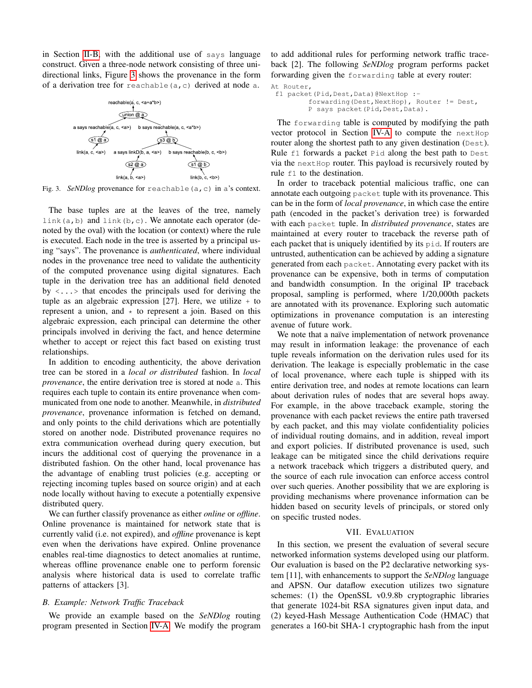in Section [II-B,](#page-1-1) with the additional use of says language construct. Given a three-node network consisting of three unidirectional links, Figure [3](#page-7-1) shows the provenance in the form of a derivation tree for reachable  $(a, c)$  derived at node a.



Fig. 3. *SeNDlog* provenance for reachable (a, c) in a's context.

The base tuples are at the leaves of the tree, namely link(a,b) and link(b,c). We annotate each operator (denoted by the oval) with the location (or context) where the rule is executed. Each node in the tree is asserted by a principal using "says". The provenance is *authenticated*, where individual nodes in the provenance tree need to validate the authenticity of the computed provenance using digital signatures. Each tuple in the derivation tree has an additional field denoted by  $\langle \ldots \rangle$  that encodes the principals used for deriving the tuple as an algebraic expression [27]. Here, we utilize + to represent a union, and  $\star$  to represent a join. Based on this algebraic expression, each principal can determine the other principals involved in deriving the fact, and hence determine whether to accept or reject this fact based on existing trust relationships.

In addition to encoding authenticity, the above derivation tree can be stored in a *local or distributed* fashion. In *local provenance*, the entire derivation tree is stored at node a. This requires each tuple to contain its entire provenance when communicated from one node to another. Meanwhile, in *distributed provenance*, provenance information is fetched on demand, and only points to the child derivations which are potentially stored on another node. Distributed provenance requires no extra communication overhead during query execution, but incurs the additional cost of querying the provenance in a distributed fashion. On the other hand, local provenance has the advantage of enabling trust policies (e.g. accepting or rejecting incoming tuples based on source origin) and at each node locally without having to execute a potentially expensive distributed query.

We can further classify provenance as either *online* or *offline*. Online provenance is maintained for network state that is currently valid (i.e. not expired), and *offline* provenance is kept even when the derivations have expired. Online provenance enables real-time diagnostics to detect anomalies at runtime, whereas offline provenance enable one to perform forensic analysis where historical data is used to correlate traffic patterns of attackers [3].

## <span id="page-7-2"></span>*B. Example: Network Traffic Traceback*

We provide an example based on the *SeNDlog* routing program presented in Section [IV-A.](#page-3-1) We modify the program to add additional rules for performing network traffic traceback [2]. The following *SeNDlog* program performs packet forwarding given the forwarding table at every router:

```
At Router,
 f1 packet(Pid,Dest,Data)@NextHop :-
         forwarding(Dest,NextHop), Router != Dest,
         P says packet(Pid,Dest,Data).
```
The forwarding table is computed by modifying the path vector protocol in Section [IV-A](#page-3-1) to compute the next Hop router along the shortest path to any given destination (Dest). Rule f1 forwards a packet Pid along the best path to Dest via the next Hop router. This payload is recursively routed by rule f1 to the destination.

<span id="page-7-1"></span>In order to traceback potential malicious traffic, one can annotate each outgoing packet tuple with its provenance. This can be in the form of *local provenance*, in which case the entire path (encoded in the packet's derivation tree) is forwarded with each packet tuple. In *distributed provenance*, states are maintained at every router to traceback the reverse path of each packet that is uniquely identified by its pid. If routers are untrusted, authentication can be achieved by adding a signature generated from each packet. Annotating every packet with its provenance can be expensive, both in terms of computation and bandwidth consumption. In the original IP traceback proposal, sampling is performed, where 1/20,000th packets are annotated with its provenance. Exploring such automatic optimizations in provenance computation is an interesting avenue of future work.

We note that a naïve implementation of network provenance may result in information leakage: the provenance of each tuple reveals information on the derivation rules used for its derivation. The leakage is especially problematic in the case of local provenance, where each tuple is shipped with its entire derivation tree, and nodes at remote locations can learn about derivation rules of nodes that are several hops away. For example, in the above traceback example, storing the provenance with each packet reviews the entire path traversed by each packet, and this may violate confidentiality policies of individual routing domains, and in addition, reveal import and export policies. If distributed provenance is used, such leakage can be mitigated since the child derivations require a network traceback which triggers a distributed query, and the source of each rule invocation can enforce access control over such queries. Another possibility that we are exploring is providing mechanisms where provenance information can be hidden based on security levels of principals, or stored only on specific trusted nodes.

### VII. EVALUATION

<span id="page-7-0"></span>In this section, we present the evaluation of several secure networked information systems developed using our platform. Our evaluation is based on the P2 declarative networking system [11], with enhancements to support the *SeNDlog* language and APSN. Our dataflow execution utilizes two signature schemes: (1) the OpenSSL v0.9.8b cryptographic libraries that generate 1024-bit RSA signatures given input data, and (2) keyed-Hash Message Authentication Code (HMAC) that generates a 160-bit SHA-1 cryptographic hash from the input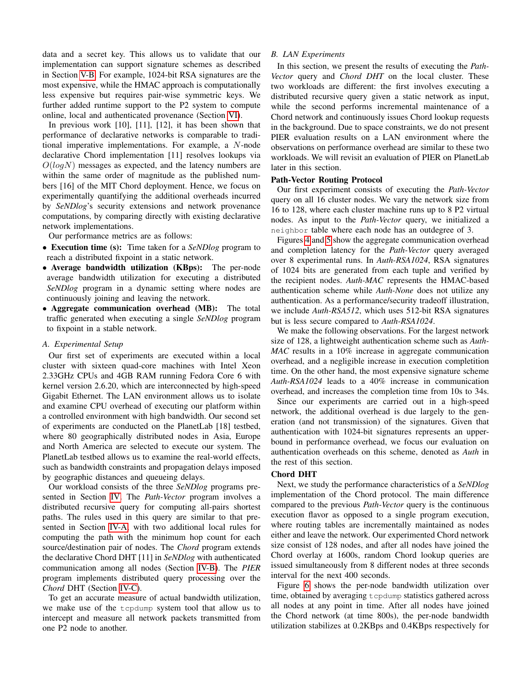data and a secret key. This allows us to validate that our implementation can support signature schemes as described in Section [V-B.](#page-5-0) For example, 1024-bit RSA signatures are the most expensive, while the HMAC approach is computationally less expensive but requires pair-wise symmetric keys. We further added runtime support to the P2 system to compute online, local and authenticated provenance (Section [VI\)](#page-6-0).

In previous work [10], [11], [12], it has been shown that performance of declarative networks is comparable to traditional imperative implementations. For example, a N-node declarative Chord implementation [11] resolves lookups via  $O(logN)$  messages as expected, and the latency numbers are within the same order of magnitude as the published numbers [16] of the MIT Chord deployment. Hence, we focus on experimentally quantifying the additional overheads incurred by *SeNDlog*'s security extensions and network provenance computations, by comparing directly with existing declarative network implementations.

Our performance metrics are as follows:

- Execution time (s): Time taken for a *SeNDlog* program to reach a distributed fixpoint in a static network.
- Average bandwidth utilization (KBps): The per-node average bandwidth utilization for executing a distributed *SeNDlog* program in a dynamic setting where nodes are continuously joining and leaving the network.
- Aggregate communication overhead (MB): The total traffic generated when executing a single *SeNDlog* program to fixpoint in a stable network.

# *A. Experimental Setup*

Our first set of experiments are executed within a local cluster with sixteen quad-core machines with Intel Xeon 2.33GHz CPUs and 4GB RAM running Fedora Core 6 with kernel version 2.6.20, which are interconnected by high-speed Gigabit Ethernet. The LAN environment allows us to isolate and examine CPU overhead of executing our platform within a controlled environment with high bandwidth. Our second set of experiments are conducted on the PlanetLab [18] testbed, where 80 geographically distributed nodes in Asia, Europe and North America are selected to execute our system. The PlanetLab testbed allows us to examine the real-world effects, such as bandwidth constraints and propagation delays imposed by geographic distances and queueing delays.

Our workload consists of the three *SeNDlog* programs presented in Section [IV.](#page-3-0) The *Path-Vector* program involves a distributed recursive query for computing all-pairs shortest paths. The rules used in this query are similar to that presented in Section [IV-A,](#page-3-1) with two additional local rules for computing the path with the minimum hop count for each source/destination pair of nodes. The *Chord* program extends the declarative Chord DHT [11] in *SeNDlog* with authenticated communication among all nodes (Section [IV-B\)](#page-3-2). The *PIER* program implements distributed query processing over the *Chord* DHT (Section [IV-C\)](#page-4-2).

To get an accurate measure of actual bandwidth utilization, we make use of the tcpdump system tool that allow us to intercept and measure all network packets transmitted from one P2 node to another.

#### *B. LAN Experiments*

In this section, we present the results of executing the *Path-Vector* query and *Chord DHT* on the local cluster. These two workloads are different: the first involves executing a distributed recursive query given a static network as input, while the second performs incremental maintenance of a Chord network and continuously issues Chord lookup requests in the background. Due to space constraints, we do not present PIER evaluation results on a LAN environment where the observations on performance overhead are similar to these two workloads. We will revisit an evaluation of PIER on PlanetLab later in this section.

## Path-Vector Routing Protocol

Our first experiment consists of executing the *Path-Vector* query on all 16 cluster nodes. We vary the network size from 16 to 128, where each cluster machine runs up to 8 P2 virtual nodes. As input to the *Path-Vector* query, we initialized a neighbor table where each node has an outdegree of 3.

Figures [4](#page-9-0) and [5](#page-9-1) show the aggregate communication overhead and completion latency for the *Path-Vector* query averaged over 8 experimental runs. In *Auth-RSA1024*, RSA signatures of 1024 bits are generated from each tuple and verified by the recipient nodes. *Auth-MAC* represents the HMAC-based authentication scheme while *Auth-None* does not utilize any authentication. As a performance/security tradeoff illustration, we include *Auth-RSA512*, which uses 512-bit RSA signatures but is less secure compared to *Auth-RSA1024*.

We make the following observations. For the largest network size of 128, a lightweight authentication scheme such as *Auth-MAC* results in a 10% increase in aggregate communication overhead, and a negligible increase in execution completition time. On the other hand, the most expensive signature scheme *Auth-RSA1024* leads to a 40% increase in communication overhead, and increases the completion time from 10s to 34s.

Since our experiments are carried out in a high-speed network, the additional overhead is due largely to the generation (and not transmission) of the signatures. Given that authentication with 1024-bit signatures represents an upperbound in performance overhead, we focus our evaluation on authentication overheads on this scheme, denoted as *Auth* in the rest of this section.

#### Chord DHT

Next, we study the performance characteristics of a *SeNDlog* implementation of the Chord protocol. The main difference compared to the previous *Path-Vector* query is the continuous execution flavor as opposed to a single program execution, where routing tables are incrementally maintained as nodes either and leave the network. Our experimented Chord network size consist of 128 nodes, and after all nodes have joined the Chord overlay at 1600s, random Chord lookup queries are issued simultaneously from 8 different nodes at three seconds interval for the next 400 seconds.

Figure [6](#page-9-2) shows the per-node bandwidth utilization over time, obtained by averaging tcpdump statistics gathered across all nodes at any point in time. After all nodes have joined the Chord network (at time 800s), the per-node bandwidth utilization stabilizes at 0.2KBps and 0.4KBps respectively for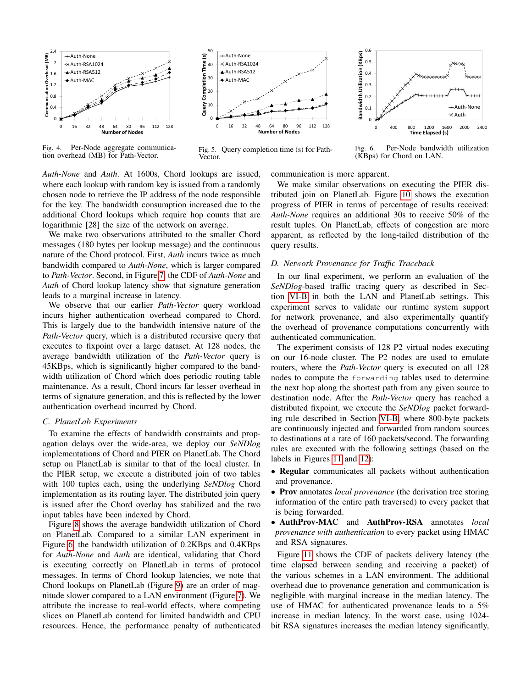

<span id="page-9-0"></span>Fig. 4. Per-Node aggregate communication overhead (MB) for Path-Vector.



 $\overline{0}$ 0.1 0.2 0.3 0 400 800 1200 1600 2000 2400 **Time Elapsed (s) Bandwidth Utilization (KBps)** Auth‐None  $\times$  Auth

⋙

Fig. 5. Query completion time (s) for Path-Vector.

<span id="page-9-2"></span>Fig. 6. Per-Node bandwidth utilization (KBps) for Chord on LAN.

*Auth-None* and *Auth*. At 1600s, Chord lookups are issued, where each lookup with random key is issued from a randomly chosen node to retrieve the IP address of the node responsible for the key. The bandwidth consumption increased due to the additional Chord lookups which require hop counts that are logarithmic [28] the size of the network on average.

We make two observations attributed to the smaller Chord messages (180 bytes per lookup message) and the continuous nature of the Chord protocol. First, *Auth* incurs twice as much bandwidth compared to *Auth-None*, which is larger compared to *Path-Vector*. Second, in Figure [7,](#page-10-0) the CDF of *Auth-None* and *Auth* of Chord lookup latency show that signature generation leads to a marginal increase in latency.

We observe that our earlier *Path-Vector* query workload incurs higher authentication overhead compared to Chord. This is largely due to the bandwidth intensive nature of the *Path-Vector* query, which is a distributed recursive query that executes to fixpoint over a large dataset. At 128 nodes, the average bandwidth utilization of the *Path-Vector* query is 45KBps, which is significantly higher compared to the bandwidth utilization of Chord which does periodic routing table maintenance. As a result, Chord incurs far lesser overhead in terms of signature generation, and this is reflected by the lower authentication overhead incurred by Chord.

#### *C. PlanetLab Experiments*

To examine the effects of bandwidth constraints and propagation delays over the wide-area, we deploy our *SeNDlog* implementations of Chord and PIER on PlanetLab. The Chord setup on PlanetLab is similar to that of the local cluster. In the PIER setup, we execute a distributed join of two tables with 100 tuples each, using the underlying *SeNDlog* Chord implementation as its routing layer. The distributed join query is issued after the Chord overlay has stabilized and the two input tables have been indexed by Chord.

Figure [8](#page-10-1) shows the average bandwidth utilization of Chord on PlanetLab. Compared to a similar LAN experiment in Figure [6,](#page-9-2) the bandwidth utilization of 0.2KBps and 0.4KBps for *Auth-None* and *Auth* are identical, validating that Chord is executing correctly on PlanetLab in terms of protocol messages. In terms of Chord lookup latencies, we note that Chord lookups on PlanetLab (Figure [9\)](#page-10-2) are an order of magnitude slower compared to a LAN environment (Figure [7\)](#page-10-0). We attribute the increase to real-world effects, where competing slices on PlanetLab contend for limited bandwidth and CPU resources. Hence, the performance penalty of authenticated

<span id="page-9-1"></span>communication is more apparent.

We make similar observations on executing the PIER distributed join on PlanetLab. Figure [10](#page-10-3) shows the execution progress of PIER in terms of percentage of results received: *Auth-None* requires an additional 30s to receive 50% of the result tuples. On PlanetLab, effects of congestion are more apparent, as reflected by the long-tailed distribution of the query results.

0.4 0.5 0.6

## *D. Network Provenance for Traffic Traceback*

In our final experiment, we perform an evaluation of the *SeNDlog*-based traffic tracing query as described in Section [VI-B](#page-7-2) in both the LAN and PlanetLab settings. This experiment serves to validate our runtime system support for network provenance, and also experimentally quantify the overhead of provenance computations concurrently with authenticated communication.

The experiment consists of 128 P2 virtual nodes executing on our 16-node cluster. The P2 nodes are used to emulate routers, where the *Path-Vector* query is executed on all 128 nodes to compute the forwarding tables used to determine the next hop along the shortest path from any given source to destination node. After the *Path-Vector* query has reached a distributed fixpoint, we execute the *SeNDlog* packet forwarding rule described in Section [VI-B,](#page-7-2) where 800-byte packets are continuously injected and forwarded from random sources to destinations at a rate of 160 packets/second. The forwarding rules are executed with the following settings (based on the labels in Figures [11](#page-10-4) and [12\)](#page-10-5):

- Regular communicates all packets without authentication and provenance.
- Prov annotates *local provenance* (the derivation tree storing information of the entire path traversed) to every packet that is being forwarded.
- AuthProv-MAC and AuthProv-RSA annotates *local provenance with authentication* to every packet using HMAC and RSA signatures.

Figure [11](#page-10-4) shows the CDF of packets delivery latency (the time elapsed between sending and receiving a packet) of the various schemes in a LAN environment. The additional overhead due to provenance generation and communication is negligible with marginal increase in the median latency. The use of HMAC for authenticated provenance leads to a 5% increase in median latency. In the worst case, using 1024 bit RSA signatures increases the median latency significantly,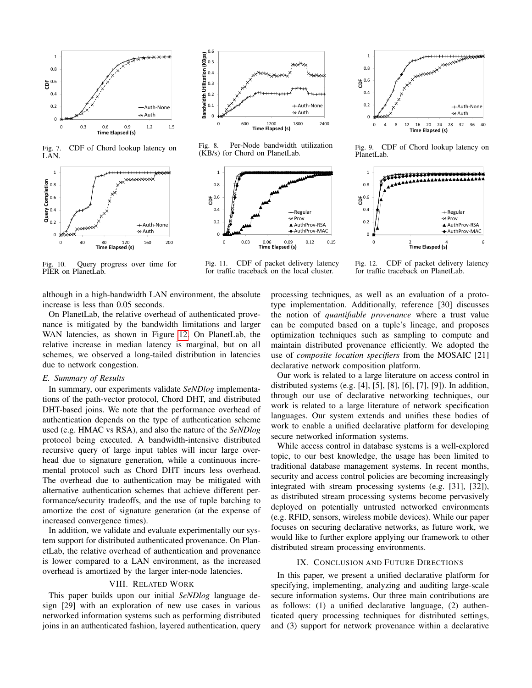



<span id="page-10-1"></span><span id="page-10-0"></span>Fig. 8. Per-Node bandwidth utilization (KB/s) for Chord on PlanetLab.





<span id="page-10-2"></span>Fig. 9. CDF of Chord lookup latency on PlanetLab.



<span id="page-10-3"></span>Fig. 10. Query progress over time for PIER on PlanetLab.

Fig. 11. CDF of packet delivery latency for traffic traceback on the local cluster.

<span id="page-10-5"></span>Fig. 12. CDF of packet delivery latency for traffic traceback on PlanetLab.

although in a high-bandwidth LAN environment, the absolute

increase is less than 0.05 seconds. On PlanetLab, the relative overhead of authenticated provenance is mitigated by the bandwidth limitations and larger WAN latencies, as shown in Figure [12.](#page-10-5) On PlanetLab, the relative increase in median latency is marginal, but on all schemes, we observed a long-tailed distribution in latencies due to network congestion.

#### *E. Summary of Results*

In summary, our experiments validate *SeNDlog* implementations of the path-vector protocol, Chord DHT, and distributed DHT-based joins. We note that the performance overhead of authentication depends on the type of authentication scheme used (e.g. HMAC vs RSA), and also the nature of the *SeNDlog* protocol being executed. A bandwidth-intensive distributed recursive query of large input tables will incur large overhead due to signature generation, while a continuous incremental protocol such as Chord DHT incurs less overhead. The overhead due to authentication may be mitigated with alternative authentication schemes that achieve different performance/security tradeoffs, and the use of tuple batching to amortize the cost of signature generation (at the expense of increased convergence times).

In addition, we validate and evaluate experimentally our system support for distributed authenticated provenance. On PlanetLab, the relative overhead of authentication and provenance is lower compared to a LAN environment, as the increased overhead is amortized by the larger inter-node latencies.

#### VIII. RELATED WORK

This paper builds upon our initial *SeNDlog* language design [29] with an exploration of new use cases in various networked information systems such as performing distributed joins in an authenticated fashion, layered authentication, query <span id="page-10-4"></span>processing techniques, as well as an evaluation of a prototype implementation. Additionally, reference [30] discusses the notion of *quantifiable provenance* where a trust value can be computed based on a tuple's lineage, and proposes optimization techniques such as sampling to compute and maintain distributed provenance efficiently. We adopted the use of *composite location specifiers* from the MOSAIC [21] declarative network composition platform.

Our work is related to a large literature on access control in distributed systems (e.g. [4], [5], [8], [6], [7], [9]). In addition, through our use of declarative networking techniques, our work is related to a large literature of network specification languages. Our system extends and unifies these bodies of work to enable a unified declarative platform for developing secure networked information systems.

While access control in database systems is a well-explored topic, to our best knowledge, the usage has been limited to traditional database management systems. In recent months, security and access control policies are becoming increasingly integrated with stream processing systems (e.g. [31], [32]), as distributed stream processing systems become pervasively deployed on potentially untrusted networked environments (e.g. RFID, sensors, wireless mobile devices). While our paper focuses on securing declarative networks, as future work, we would like to further explore applying our framework to other distributed stream processing environments.

## IX. CONCLUSION AND FUTURE DIRECTIONS

In this paper, we present a unified declarative platform for specifying, implementing, analyzing and auditing large-scale secure information systems. Our three main contributions are as follows: (1) a unified declarative language, (2) authenticated query processing techniques for distributed settings, and (3) support for network provenance within a declarative